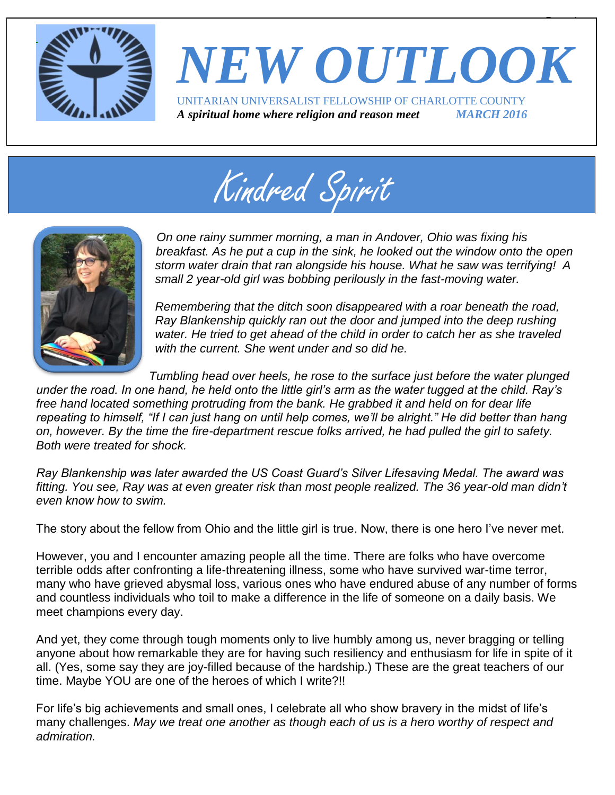

# *NEW OUTLOOK* UNITARIAN UNIVERSALIST FELLOWSHIP OF CHARLOTTE COUNTY *A spiritual home where religion and reason meet MARCH 2016*

 $\overline{\phantom{a}}$ 

Kindred Spirit



*On one rainy summer morning, a man in Andover, Ohio was fixing his breakfast. As he put a cup in the sink, he looked out the window onto the open storm water drain that ran alongside his house. What he saw was terrifying! A small 2 year-old girl was bobbing perilously in the fast-moving water.* 

*Remembering that the ditch soon disappeared with a roar beneath the road, Ray Blankenship quickly ran out the door and jumped into the deep rushing water. He tried to get ahead of the child in order to catch her as she traveled with the current. She went under and so did he.* 

*Tumbling head over heels, he rose to the surface just before the water plunged* 

*under the road. In one hand, he held onto the little girl's arm as the water tugged at the child. Ray's*  free hand located something protruding from the bank. He grabbed it and held on for dear life *repeating to himself, "If I can just hang on until help comes, we'll be alright." He did better than hang on, however. By the time the fire-department rescue folks arrived, he had pulled the girl to safety. Both were treated for shock.* 

*Ray Blankenship was later awarded the US Coast Guard's Silver Lifesaving Medal. The award was fitting. You see, Ray was at even greater risk than most people realized. The 36 year-old man didn't even know how to swim.*

The story about the fellow from Ohio and the little girl is true. Now, there is one hero I've never met.

However, you and I encounter amazing people all the time. There are folks who have overcome terrible odds after confronting a life-threatening illness, some who have survived war-time terror, many who have grieved abysmal loss, various ones who have endured abuse of any number of forms and countless individuals who toil to make a difference in the life of someone on a daily basis. We meet champions every day.

And yet, they come through tough moments only to live humbly among us, never bragging or telling anyone about how remarkable they are for having such resiliency and enthusiasm for life in spite of it all. (Yes, some say they are joy-filled because of the hardship.) These are the great teachers of our time. Maybe YOU are one of the heroes of which I write?!!

For life's big achievements and small ones, I celebrate all who show bravery in the midst of life's many challenges. *May we treat one another as though each of us is a hero worthy of respect and admiration.*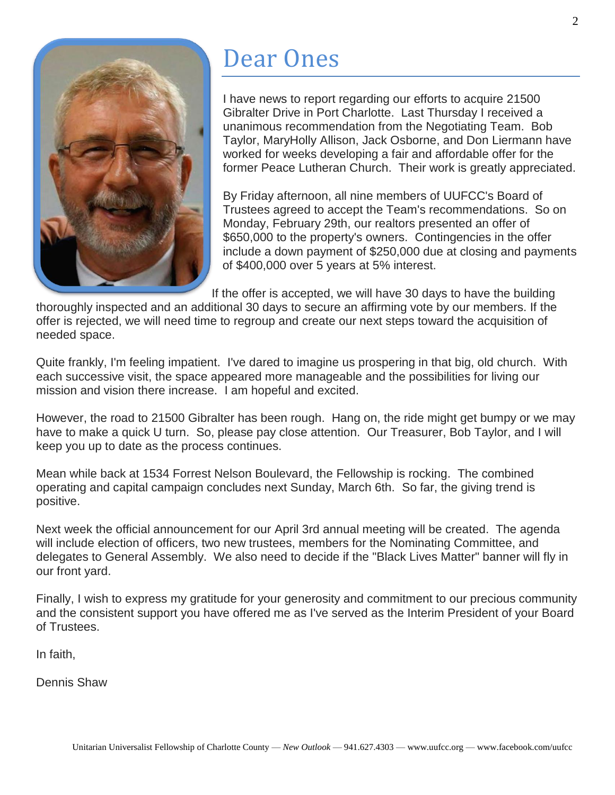

## Dear Ones

I have news to report regarding our efforts to acquire 21500 Gibralter Drive in Port Charlotte. Last Thursday I received a unanimous recommendation from the Negotiating Team. Bob Taylor, MaryHolly Allison, Jack Osborne, and Don Liermann have worked for weeks developing a fair and affordable offer for the former Peace Lutheran Church. Their work is greatly appreciated.

By Friday afternoon, all nine members of UUFCC's Board of Trustees agreed to accept the Team's recommendations. So on Monday, February 29th, our realtors presented an offer of \$650,000 to the property's owners. Contingencies in the offer include a down payment of \$250,000 due at closing and payments of \$400,000 over 5 years at 5% interest.

If the offer is accepted, we will have 30 days to have the building

thoroughly inspected and an additional 30 days to secure an affirming vote by our members. If the offer is rejected, we will need time to regroup and create our next steps toward the acquisition of needed space.

Quite frankly, I'm feeling impatient. I've dared to imagine us prospering in that big, old church. With each successive visit, the space appeared more manageable and the possibilities for living our mission and vision there increase. I am hopeful and excited.

However, the road to 21500 Gibralter has been rough. Hang on, the ride might get bumpy or we may have to make a quick U turn. So, please pay close attention. Our Treasurer, Bob Taylor, and I will keep you up to date as the process continues.

Mean while back at 1534 Forrest Nelson Boulevard, the Fellowship is rocking. The combined operating and capital campaign concludes next Sunday, March 6th. So far, the giving trend is positive.

Next week the official announcement for our April 3rd annual meeting will be created. The agenda will include election of officers, two new trustees, members for the Nominating Committee, and delegates to General Assembly. We also need to decide if the "Black Lives Matter" banner will fly in our front yard.

Finally, I wish to express my gratitude for your generosity and commitment to our precious community and the consistent support you have offered me as I've served as the Interim President of your Board of Trustees.

In faith,

Dennis Shaw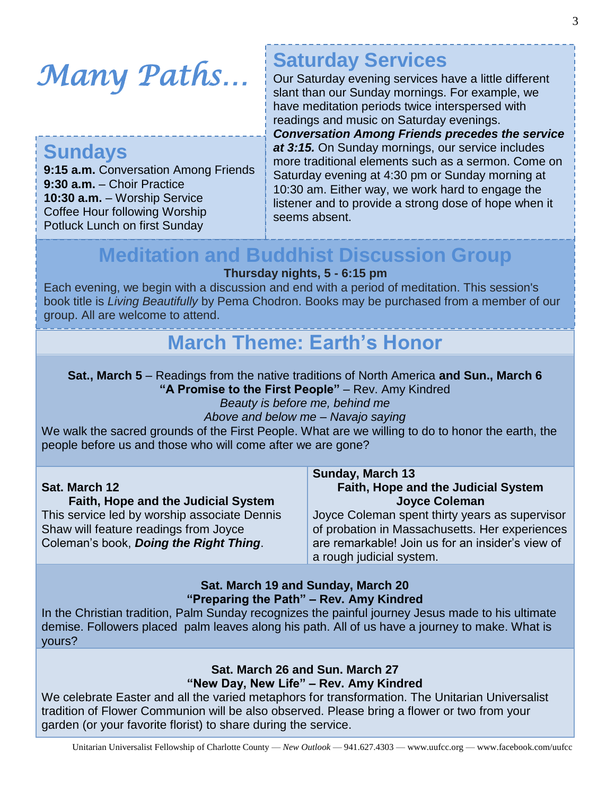*Many Paths…* 

## **Sundays**

**9:15 a.m.** Conversation Among Friends **9:30 a.m.** – Choir Practice **10:30 a.m.** – Worship Service Coffee Hour following Worship Potluck Lunch on first Sunday

## **Saturday Services**

Our Saturday evening services have a little different slant than our Sunday mornings. For example, we have meditation periods twice interspersed with readings and music on Saturday evenings. *Conversation Among Friends precedes the service at 3:15.* On Sunday mornings, our service includes more traditional elements such as a sermon. Come on Saturday evening at 4:30 pm or Sunday morning at 10:30 am. Either way, we work hard to engage the listener and to provide a strong dose of hope when it seems absent.

## **Meditation and Buddhist Discussion Group**

#### **Thursday nights, 5 - 6:15 pm**

Each evening, we begin with a discussion and end with a period of meditation. This session's book title is *Living Beautifully* by Pema Chodron. Books may be purchased from a member of our group. All are welcome to attend.

## **March Theme: Earth's Honor**

#### **Sat., March 5** – Readings from the native traditions of North America **and Sun., March 6 "A Promise to the First People"** – Rev. Amy Kindred

*Beauty is before me, behind me*

*Above and below me – Navajo saying*

We walk the sacred grounds of the First People. What are we willing to do to honor the earth, the people before us and those who will come after we are gone?

|                                              | <b>Sunday, March 13</b>                          |
|----------------------------------------------|--------------------------------------------------|
| Sat. March 12                                | Faith, Hope and the Judicial System              |
| <b>Faith, Hope and the Judicial System</b>   | <b>Joyce Coleman</b>                             |
| This service led by worship associate Dennis | Joyce Coleman spent thirty years as supervisor   |
| Shaw will feature readings from Joyce        | of probation in Massachusetts. Her experiences   |
| Coleman's book, Doing the Right Thing.       | are remarkable! Join us for an insider's view of |
|                                              | a rough judicial system.                         |

#### **Sat. March 19 and Sunday, March 20 "Preparing the Path" – Rev. Amy Kindred**

In the Christian tradition, Palm Sunday recognizes the painful journey Jesus made to his ultimate demise. Followers placed palm leaves along his path. All of us have a journey to make. What is yours?

#### **Sat. March 26 and Sun. March 27 "New Day, New Life" – Rev. Amy Kindred**

We celebrate Easter and all the varied metaphors for transformation. The Unitarian Universalist tradition of Flower Communion will be also observed. Please bring a flower or two from your garden (or your favorite florist) to share during the service.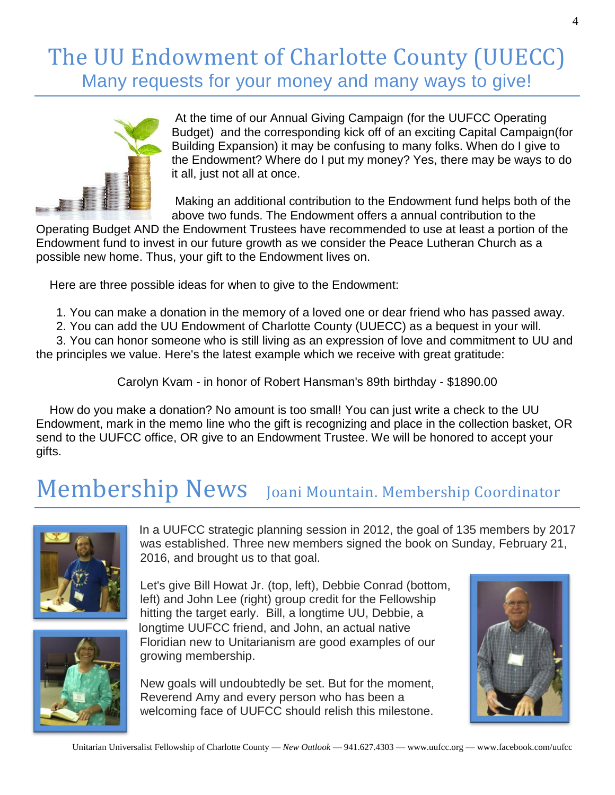## The UU Endowment of Charlotte County (UUECC) Many requests for your money and many ways to give!



At the time of our Annual Giving Campaign (for the UUFCC Operating Budget) and the corresponding kick off of an exciting Capital Campaign(for Building Expansion) it may be confusing to many folks. When do I give to the Endowment? Where do I put my money? Yes, there may be ways to do it all, just not all at once.

Making an additional contribution to the Endowment fund helps both of the above two funds. The Endowment offers a annual contribution to the

Operating Budget AND the Endowment Trustees have recommended to use at least a portion of the Endowment fund to invest in our future growth as we consider the Peace Lutheran Church as a possible new home. Thus, your gift to the Endowment lives on.

Here are three possible ideas for when to give to the Endowment:

- 1. You can make a donation in the memory of a loved one or dear friend who has passed away.
- 2. You can add the UU Endowment of Charlotte County (UUECC) as a bequest in your will.

3. You can honor someone who is still living as an expression of love and commitment to UU and the principles we value. Here's the latest example which we receive with great gratitude:

Carolyn Kvam - in honor of Robert Hansman's 89th birthday - \$1890.00

How do you make a donation? No amount is too small! You can just write a check to the UU Endowment, mark in the memo line who the gift is recognizing and place in the collection basket, OR send to the UUFCC office, OR give to an Endowment Trustee. We will be honored to accept your gifts.

# Membership News Joani Mountain. Membership Coordinator



In a UUFCC strategic planning session in 2012, the goal of 135 members by 2017 was established. Three new members signed the book on Sunday, February 21, 2016, and brought us to that goal.

Let's give Bill Howat Jr. (top, left), Debbie Conrad (bottom, left) and John Lee (right) group credit for the Fellowship hitting the target early. Bill, a longtime UU, Debbie, a longtime UUFCC friend, and John, an actual native Floridian new to Unitarianism are good examples of our growing membership.

New goals will undoubtedly be set. But for the moment, Reverend Amy and every person who has been a welcoming face of UUFCC should relish this milestone.

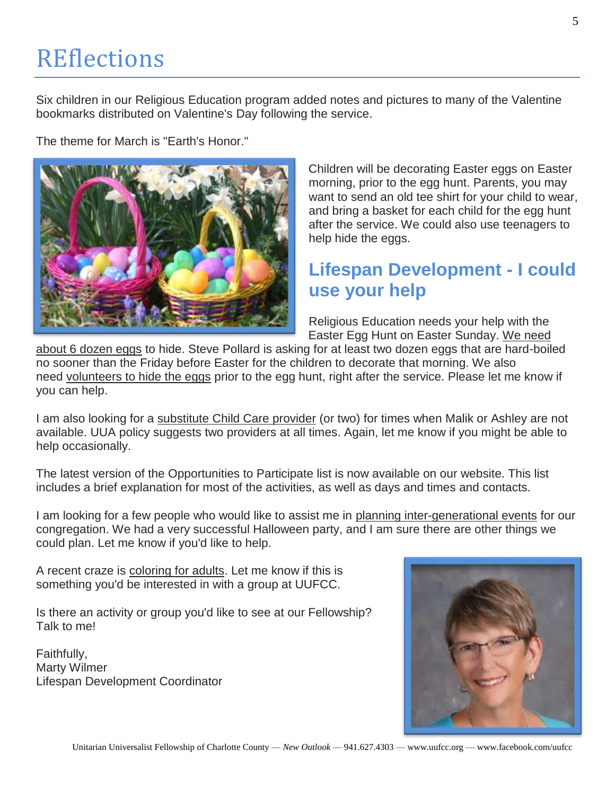# **REflections**

Six children in our Religious Education program added notes and pictures to many of the Valentine bookmarks distributed on Valentine's Day following the service.

The theme for March is "Earth's Honor."



Children will be decorating Easter eggs on Easter morning, prior to the egg hunt. Parents, you may want to send an old tee shirt for your child to wear, and bring a basket for each child for the egg hunt after the service. We could also use teenagers to help hide the eggs.

## **Lifespan Development - I could use your help**

Religious Education needs your help with the Easter Egg Hunt on Easter Sunday. We need

about 6 dozen eggs to hide. Steve Pollard is asking for at least two dozen eggs that are hard-boiled no sooner than the Friday before Easter for the children to decorate that morning. We also need volunteers to hide the eggs prior to the egg hunt, right after the service. Please let me know if you can help.

I am also looking for a substitute Child Care provider (or two) for times when Malik or Ashley are not available. UUA policy suggests two providers at all times. Again, let me know if you might be able to help occasionally.

The latest version of the Opportunities to Participate list is now available on our website. This list includes a brief explanation for most of the activities, as well as days and times and contacts.

I am looking for a few people who would like to assist me in planning inter-generational events for our congregation. We had a very successful Halloween party, and I am sure there are other things we could plan. Let me know if you'd like to help.

A recent craze is coloring for adults. Let me know if this is something you'd be interested in with a group at UUFCC.

Is there an activity or group you'd like to see at our Fellowship? Talk to me!

Faithfully, Marty Wilmer Lifespan Development Coordinator

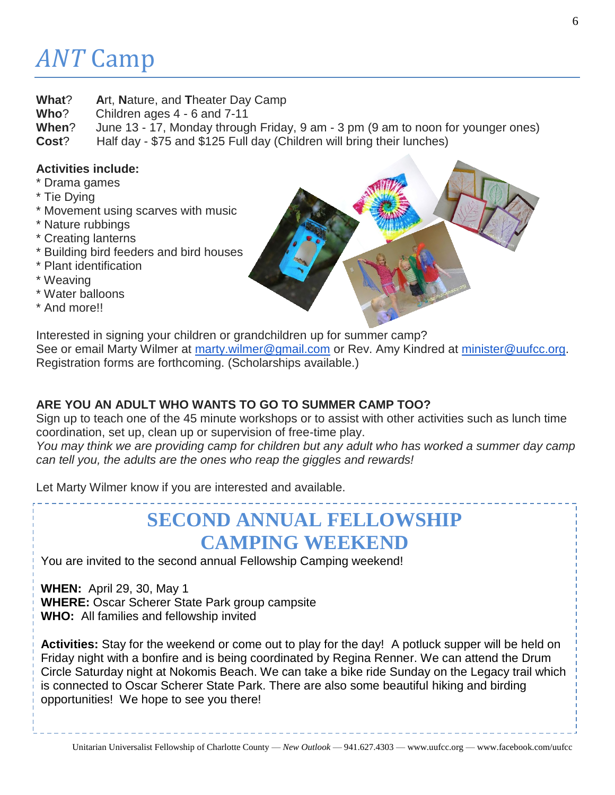# *ANT* Camp

- **What**? **A**rt, **N**ature, and **T**heater Day Camp
- **Who**? Children ages 4 6 and 7-11
- **When**? June 13 17, Monday through Friday, 9 am 3 pm (9 am to noon for younger ones)
- **Cost**? Half day \$75 and \$125 Full day (Children will bring their lunches)

### **Activities include:**

- \* Drama games
- \* Tie Dying
- \* Movement using scarves with music
- \* Nature rubbings
- \* Creating lanterns
- \* Building bird feeders and bird houses
- \* Plant identification
- \* Weaving
- \* Water balloons
- \* And more!!



Interested in signing your children or grandchildren up for summer camp? See or email Marty Wilmer at [marty.wilmer@gmail.com](mailto:marty.wilmer@gmail.com) or Rev. Amy Kindred at [minister@uufcc.org.](mailto:minister@uufcc.org) Registration forms are forthcoming. (Scholarships available.)

### **ARE YOU AN ADULT WHO WANTS TO GO TO SUMMER CAMP TOO?**

Sign up to teach one of the 45 minute workshops or to assist with other activities such as lunch time coordination, set up, clean up or supervision of free-time play.

*You may think we are providing camp for children but any adult who has worked a summer day camp can tell you, the adults are the ones who reap the giggles and rewards!*

Let Marty Wilmer know if you are interested and available.

## **SECOND ANNUAL FELLOWSHIP CAMPING WEEKEND**

You are invited to the second annual Fellowship Camping weekend!

**WHEN:** April 29, 30, May 1 **WHERE:** Oscar Scherer State Park group campsite **WHO:** All families and fellowship invited

**Activities:** Stay for the weekend or come out to play for the day! A potluck supper will be held on Friday night with a bonfire and is being coordinated by Regina Renner. We can attend the Drum Circle Saturday night at Nokomis Beach. We can take a bike ride Sunday on the Legacy trail which is connected to Oscar Scherer State Park. There are also some beautiful hiking and birding opportunities! We hope to see you there!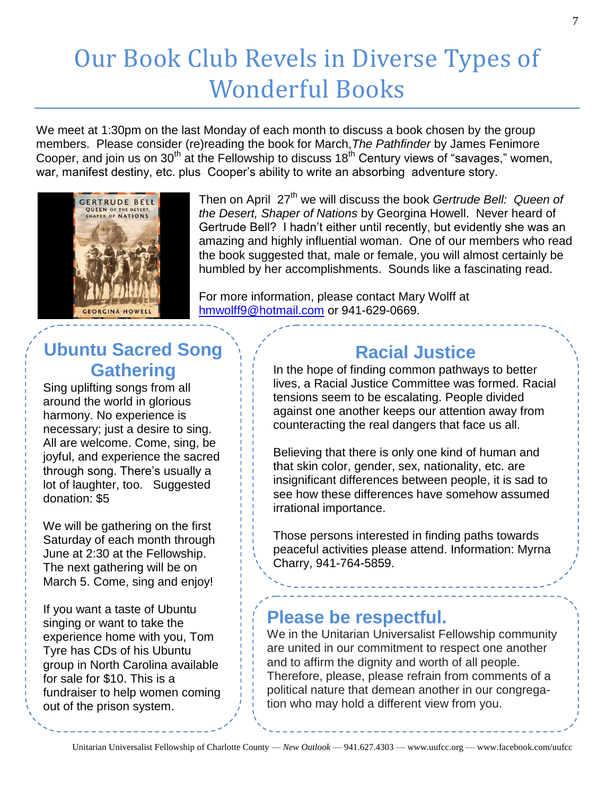# Our Book Club Revels in Diverse Types of Wonderful Books

We meet at 1:30pm on the last Monday of each month to discuss a book chosen by the group members. Please consider (re)reading the book for March,*The Pathfinder* by James Fenimore Cooper, and join us on 30<sup>th</sup> at the Fellowship to discuss 18<sup>th</sup> Century views of "savages," women, war, manifest destiny, etc. plus Cooper's ability to write an absorbing adventure story.



Then on April 27th we will discuss the book *Gertrude Bell: Queen of the Desert, Shaper of Nations* by Georgina Howell. Never heard of Gertrude Bell? I hadn't either until recently, but evidently she was an amazing and highly influential woman. One of our members who read the book suggested that, male or female, you will almost certainly be humbled by her accomplishments. Sounds like a fascinating read.

For more information, please contact Mary Wolff at [hmwolff9@hotmail.com](mailto:hmwolff9@hotmail.com) or 941-629-0669.

## **Ubuntu Sacred Song Gathering**

Sing uplifting songs from all around the world in glorious harmony. No experience is necessary; just a desire to sing. All are welcome. Come, sing, be joyful, and experience the sacred through song. There's usually a lot of laughter, too. Suggested donation: \$5

We will be gathering on the first Saturday of each month through June at 2:30 at the Fellowship. The next gathering will be on March 5. Come, sing and enjoy!

If you want a taste of Ubuntu singing or want to take the experience home with you, Tom Tyre has CDs of his Ubuntu group in North Carolina available for sale for \$10. This is a fundraiser to help women coming out of the prison system.

## **Racial Justice**

In the hope of finding common pathways to better lives, a Racial Justice Committee was formed. Racial tensions seem to be escalating. People divided against one another keeps our attention away from counteracting the real dangers that face us all.

Believing that there is only one kind of human and that skin color, gender, sex, nationality, etc. are insignificant differences between people, it is sad to see how these differences have somehow assumed irrational importance.

Those persons interested in finding paths towards peaceful activities please attend. Information: Myrna Charry, 941-764-5859.

### **Please be respectful.**

We in the Unitarian Universalist Fellowship community are united in our commitment to respect one another and to affirm the dignity and worth of all people. Therefore, please, please refrain from comments of a political nature that demean another in our congregation who may hold a different view from you.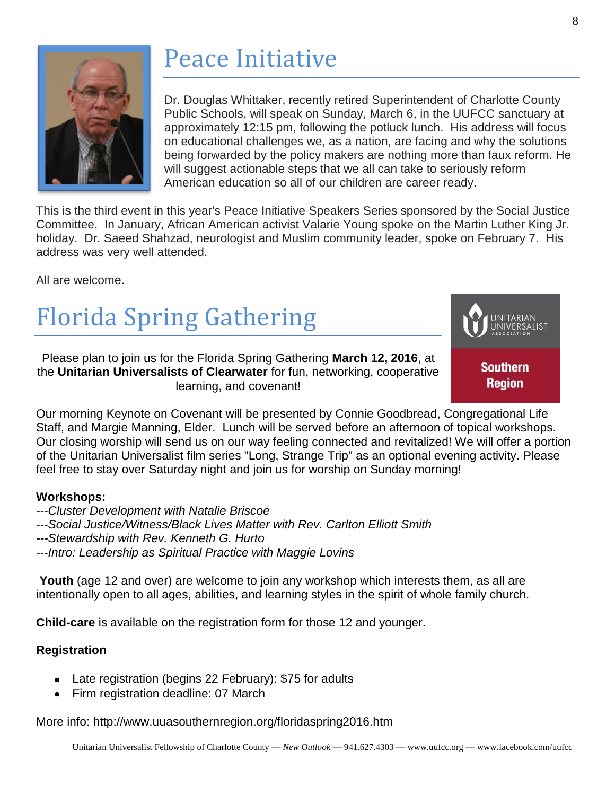

# Peace Initiative

Dr. Douglas Whittaker, recently retired Superintendent of Charlotte County Public Schools, will speak on Sunday, March 6, in the UUFCC sanctuary at approximately 12:15 pm, following the potluck lunch. His address will focus on educational challenges we, as a nation, are facing and why the solutions being forwarded by the policy makers are nothing more than faux reform. He will suggest actionable steps that we all can take to seriously reform American education so all of our children are career ready.

This is the third event in this year's Peace Initiative Speakers Series sponsored by the Social Justice Committee. In January, African American activist Valarie Young spoke on the Martin Luther King Jr. holiday. Dr. Saeed Shahzad, neurologist and Muslim community leader, spoke on February 7. His address was very well attended.

All are welcome.

# Florida Spring Gathering

Please plan to join us for the Florida Spring Gathering **March 12, 2016**, at the **Unitarian Universalists of Clearwater** for fun, networking, cooperative learning, and covenant!



Our morning Keynote on Covenant will be presented by Connie Goodbread, Congregational Life Staff, and Margie Manning, Elder. Lunch will be served before an afternoon of topical workshops. Our closing worship will send us on our way feeling connected and revitalized! We will offer a portion of the Unitarian Universalist film series "Long, Strange Trip" as an optional evening activity. Please feel free to stay over Saturday night and join us for worship on Sunday morning!

#### **Workshops:**

- *---Cluster Development with Natalie Briscoe*
- *---Social Justice/Witness/Black Lives Matter with Rev. Carlton Elliott Smith*
- *---Stewardship with Rev. Kenneth G. Hurto*
- *---Intro: Leadership as Spiritual Practice with Maggie Lovins*

**Youth** (age 12 and over) are welcome to join any workshop which interests them, as all are intentionally open to all ages, abilities, and learning styles in the spirit of whole family church.

**Child-care** is available on the registration form for those 12 and younger.

#### **Registration**

- Late registration (begins 22 February): \$75 for adults
- Firm registration deadline: 07 March

More info: http://www.uuasouthernregion.org/floridaspring2016.htm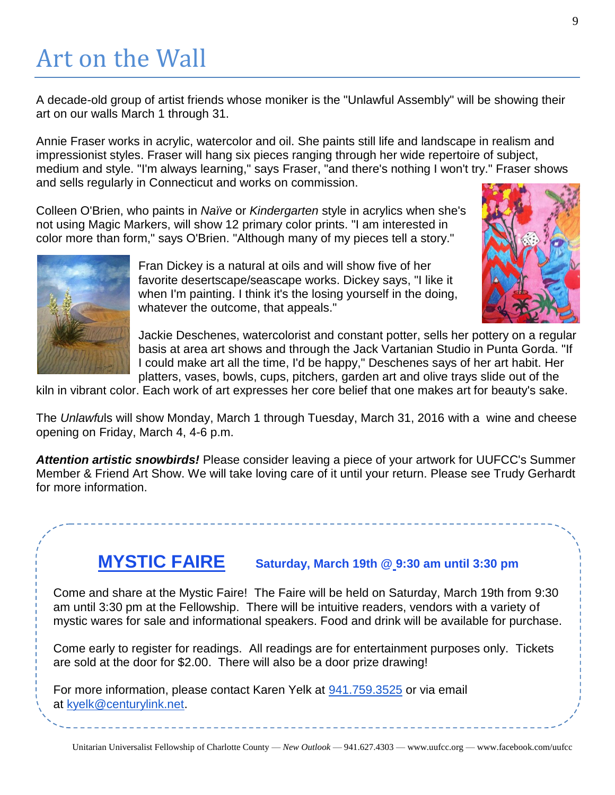# Art on the Wall

A decade-old group of artist friends whose moniker is the "Unlawful Assembly" will be showing their art on our walls March 1 through 31.

Annie Fraser works in acrylic, watercolor and oil. She paints still life and landscape in realism and impressionist styles. Fraser will hang six pieces ranging through her wide repertoire of subject, medium and style. "I'm always learning," says Fraser, "and there's nothing I won't try." Fraser shows and sells regularly in Connecticut and works on commission.

Colleen O'Brien, who paints in *Naïve* or *Kindergarten* style in acrylics when she's not using Magic Markers, will show 12 primary color prints. "I am interested in color more than form," says O'Brien. "Although many of my pieces tell a story."



Fran Dickey is a natural at oils and will show five of her favorite desertscape/seascape works. Dickey says, "I like it when I'm painting. I think it's the losing yourself in the doing, whatever the outcome, that appeals."



Jackie Deschenes, watercolorist and constant potter, sells her pottery on a regular basis at area art shows and through the Jack Vartanian Studio in Punta Gorda. "If I could make art all the time, I'd be happy," Deschenes says of her art habit. Her platters, vases, bowls, cups, pitchers, garden art and olive trays slide out of the

kiln in vibrant color. Each work of art expresses her core belief that one makes art for beauty's sake.

The *Unlawfu*ls will show Monday, March 1 through Tuesday, March 31, 2016 with a wine and cheese opening on Friday, March 4, 4-6 p.m.

*Attention artistic snowbirds!* Please consider leaving a piece of your artwork for UUFCC's Summer Member & Friend Art Show. We will take loving care of it until your return. Please see Trudy Gerhardt for more information.

## **MYSTIC FAIRE Saturday, March 19th @ 9:30 am until 3:30 pm**

Come and share at the Mystic Faire! The Faire will be held on Saturday, March 19th from 9:30 am until 3:30 pm at the Fellowship. There will be intuitive readers, vendors with a variety of mystic wares for sale and informational speakers. Food and drink will be available for purchase.

Come early to register for readings. All readings are for entertainment purposes only. Tickets are sold at the door for \$2.00. There will also be a door prize drawing!

For more information, please contact Karen Yelk at [941.759.3525](tel:941.759.3525) or via email at [kyelk@centurylink.net.](mailto:kyelk@centurylink.net)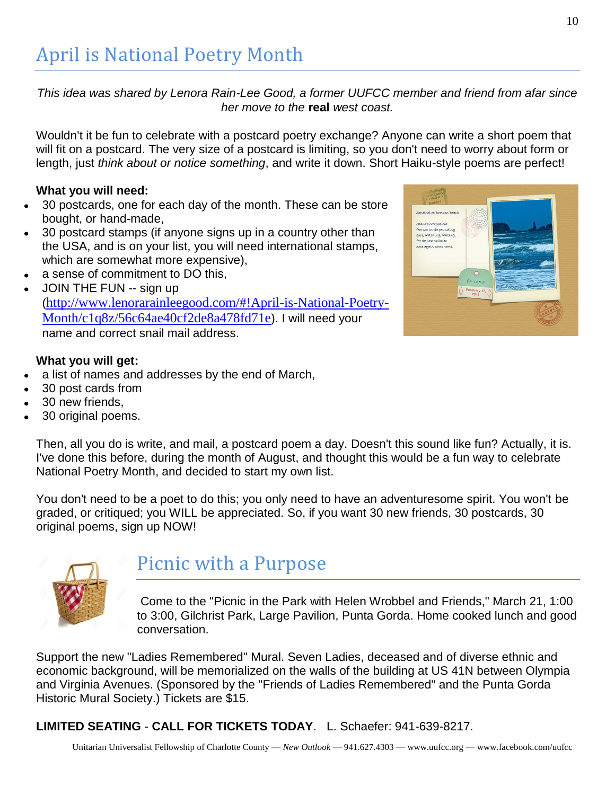*This idea was shared by Lenora Rain-Lee Good, a former UUFCC member and friend from afar since her move to the* **real** *west coast.*

Wouldn't it be fun to celebrate with a postcard poetry exchange? Anyone can write a short poem that will fit on a postcard. The very size of a postcard is limiting, so you don't need to worry about form or length, just *think about or notice something*, and write it down. Short Haiku-style poems are perfect!

#### **What you will need:**

- 30 postcards, one for each day of the month. These can be store bought, or hand-made,
- 30 postcard stamps (if anyone signs up in a country other than the USA, and is on your list, you will need international stamps, which are somewhat more expensive),
- a sense of commitment to DO this,
- JOIN THE FUN -- sign up ([http://www.lenorarainleegood.com/#!April-is-National-Poetry-](http://www.lenorarainleegood.com/#!April-is-National-Poetry-Month/c1q8z/56c64ae40cf2de8a478fd71e)[Month/c1q8z/56c64ae40cf2de8a478fd71e](http://www.lenorarainleegood.com/#!April-is-National-Poetry-Month/c1q8z/56c64ae40cf2de8a478fd71e)). I will need your name and correct snail mail address.

#### **What you will get:**

- a list of names and addresses by the end of March,
- 30 post cards from
- 30 new friends,
- 30 original poems.

Then, all you do is write, and mail, a postcard poem a day. Doesn't this sound like fun? Actually, it is. I've done this before, during the month of August, and thought this would be a fun way to celebrate National Poetry Month, and decided to start my own list.

You don't need to be a poet to do this; you only need to have an adventuresome spirit. You won't be graded, or critiqued; you WILL be appreciated. So, if you want 30 new friends, 30 postcards, 30 original poems, sign up NOW!



## Picnic with a Purpose

Come to the "Picnic in the Park with Helen Wrobbel and Friends," March 21, 1:00 to 3:00, Gilchrist Park, Large Pavilion, Punta Gorda. Home cooked lunch and good conversation.

Support the new "Ladies Remembered" Mural. Seven Ladies, deceased and of diverse ethnic and economic background, will be memorialized on the walls of the building at US 41N between Olympia and Virginia Avenues. (Sponsored by the "Friends of Ladies Remembered" and the Punta Gorda Historic Mural Society.) Tickets are \$15.

**LIMITED SEATING** - **CALL FOR TICKETS TODAY**. L. Schaefer: 941-639-8217.